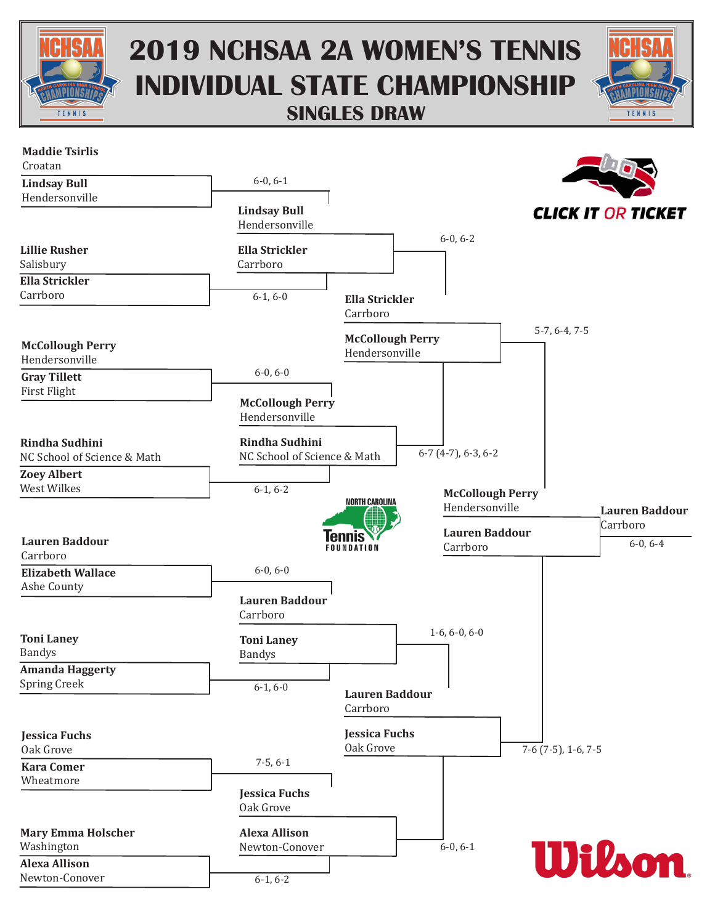

## **2019 NCHSAA 2A WOMEN'S TENNIS INDIVIDUAL STATE CHAMPIONSHIP SINGLES DRAW**